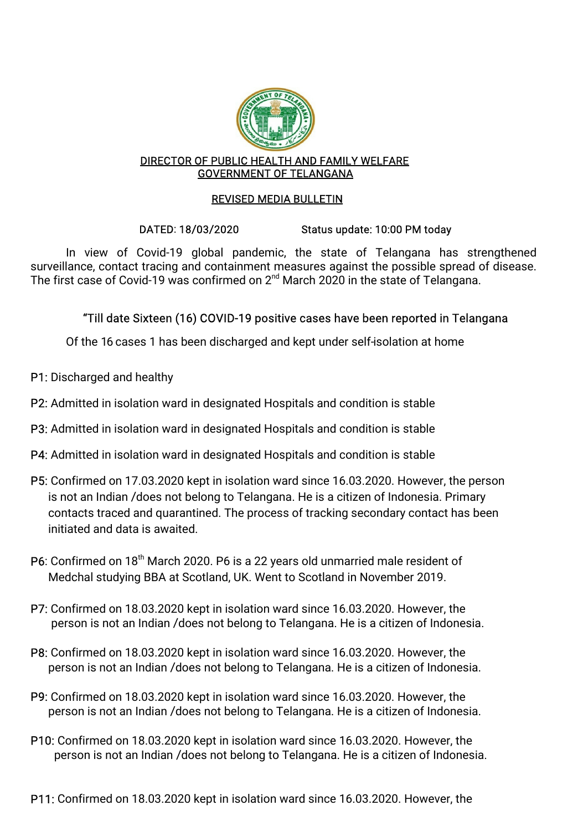

#### DIRECTOR OF PUBLIC HEALTH AND FAMILY WELFARE GOVERNMENT OF TELANGANA

## REVISED MEDIA BULLETIN

## DATED: 18/03/2020 Status update: 10:00 PM today

In view of Covid-19 global pandemic, the state of Telangana has strengthened surveillance, contact tracing and containment measures against the possible spread of disease. The first case of Covid-19 was confirmed on  $2^{nd}$  March 2020 in the state of Telangana.

## "Till date Sixteen (16) COVID-19 positive cases have been reported in Telangana

Of the 16 cases 1 has been discharged and kept under self-isolation at home

- P1: Discharged and healthy
- P2: Admitted in isolation ward in designated Hospitals and condition is stable
- P3: Admitted in isolation ward in designated Hospitals and condition is stable
- P4: Admitted in isolation ward in designated Hospitals and condition is stable
- P5: Confirmed on 17.03.2020 kept in isolation ward since 16.03.2020. However, the person is not an Indian /does not belong to Telangana. He is a citizen of Indonesia. Primary contacts traced and quarantined. The process of tracking secondary contact has been initiated and data is awaited.
- P6: Confirmed on 18<sup>th</sup> March 2020. P6 is a 22 years old unmarried male resident of Medchal studying BBA at Scotland, UK. Went to Scotland in November 2019.
- P7: Confirmed on 18.03.2020 kept in isolation ward since 16.03.2020. However, the person is not an Indian / does not belong to Telangana. He is a citizen of Indonesia.
- P8: Confirmed on 18.03.2020 kept in isolation ward since 16.03.2020. However, the person is not an Indian / does not belong to Telangana. He is a citizen of Indonesia.
- P9: Confirmed on 18.03.2020 kept in isolation ward since 16.03.2020. However, the person is not an Indian / does not belong to Telangana. He is a citizen of Indonesia.
- P10: Confirmed on 18.03.2020 kept in isolation ward since 16.03.2020. However, the person is not an Indian / does not belong to Telangana. He is a citizen of Indonesia.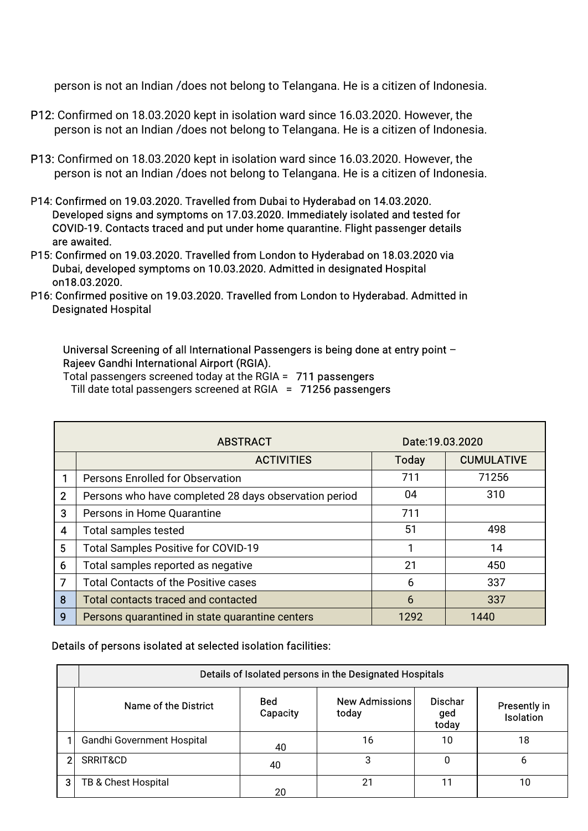person is not an Indian /does not belong to Telangana. He is a citizen of Indonesia.

- P12: Confirmed on 18.03.2020 kept in isolation ward since 16.03.2020. However, the person is not an Indian /does not belong to Telangana. He is a citizen of Indonesia.
- P13: Confirmed on 18.03.2020 kept in isolation ward since 16.03.2020. However, the person is not an Indian / does not belong to Telangana. He is a citizen of Indonesia.
- P14: Confirmed on 19.03.2020. Travelled from Dubai to Hyderabad on 14.03.2020. Developed signs and symptoms on 17.03.2020. Immediately isolated and tested for COVID-19. Contacts traced and put under home quarantine. Flight passenger details are awaited.
- P15: Confirmed on 19.03.2020. Travelled from London to Hyderabad on 18.03.2020 via Dubai, developed symptoms on 10.03.2020. Admitted in designated Hospital on18.03.2020.
- P16: Confirmed positive on 19.03.2020. Travelled from London to Hyderabad. Admitted in Designated Hospital

#### Universal Screening of all International Passengers is being done at entry point  $-$ Rajeev Gandhi International Airport (RGIA).

Total passengers screened today at the RGIA = 711 passengers Till date total passengers screened at RGIA =  $71256$  passengers

|                | <b>ABSTRACT</b>                                       | Date:19.03.2020 |                   |
|----------------|-------------------------------------------------------|-----------------|-------------------|
|                | <b>ACTIVITIES</b>                                     | <b>Today</b>    | <b>CUMULATIVE</b> |
|                | <b>Persons Enrolled for Observation</b>               | 711             | 71256             |
| $\overline{2}$ | Persons who have completed 28 days observation period | 04              | 310               |
| 3              | Persons in Home Quarantine                            | 711             |                   |
| 4              | <b>Total samples tested</b>                           | 51              | 498               |
| 5              | Total Samples Positive for COVID-19                   |                 | 14                |
| 6              | Total samples reported as negative                    | 21              | 450               |
| 7              | <b>Total Contacts of the Positive cases</b>           | 6               | 337               |
| 8              | Total contacts traced and contacted                   | 6               | 337               |
| 9              | Persons quarantined in state quarantine centers       | 1292            | 1440              |

#### Details of persons isolated at selected isolation facilities:

|   | Details of Isolated persons in the Designated Hospitals |                        |                                |                                |                                         |  |  |  |
|---|---------------------------------------------------------|------------------------|--------------------------------|--------------------------------|-----------------------------------------|--|--|--|
|   | Name of the District                                    | <b>Bed</b><br>Capacity | <b>New Admissions</b><br>today | <b>Dischar</b><br>ged<br>today | <b>Presently in</b><br><b>Isolation</b> |  |  |  |
|   | Gandhi Government Hospital                              | 40                     | 16                             | 10                             | 18                                      |  |  |  |
| 2 | SRRIT&CD                                                | 40                     |                                |                                |                                         |  |  |  |
| 3 | TB & Chest Hospital                                     | 20                     | 21                             |                                | 10                                      |  |  |  |